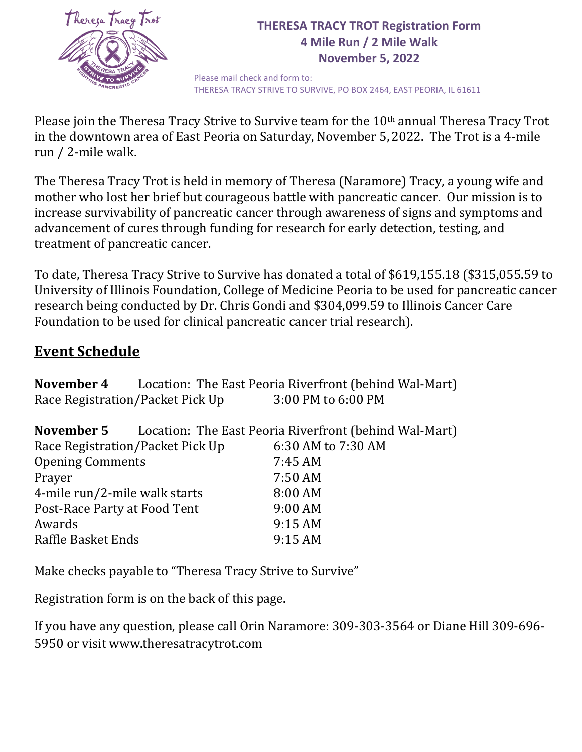

## **THERESA TRACY TROT Registration Form 4 Mile Run / 2 Mile Walk November 5, 2022**

Please mail check and form to: THERESA TRACY STRIVE TO SURVIVE, PO BOX 2464, EAST PEORIA, IL 61611

Please join the Theresa Tracy Strive to Survive team for the 10th annual Theresa Tracy Trot in the downtown area of East Peoria on Saturday, November 5,2022. The Trot is a 4-mile run / 2-mile walk.

The Theresa Tracy Trot is held in memory of Theresa (Naramore) Tracy, a young wife and mother who lost her brief but courageous battle with pancreatic cancer. Our mission is to increase survivability of pancreatic cancer through awareness of signs and symptoms and advancement of cures through funding for research for early detection, testing, and treatment of pancreatic cancer.

To date, Theresa Tracy Strive to Survive has donated a total of \$619,155.18 (\$315,055.59 to University of Illinois Foundation, College of Medicine Peoria to be used for pancreatic cancer research being conducted by Dr. Chris Gondi and \$304,099.59 to Illinois Cancer Care Foundation to be used for clinical pancreatic cancer trial research).

## **Event Schedule**

|                               |                                  | <b>November 4</b> Location: The East Peoria Riverfront (behind Wal-Mart) |  |  |  |  |
|-------------------------------|----------------------------------|--------------------------------------------------------------------------|--|--|--|--|
|                               | Race Registration/Packet Pick Up | 3:00 PM to 6:00 PM                                                       |  |  |  |  |
| November 5                    |                                  | Location: The East Peoria Riverfront (behind Wal-Mart)                   |  |  |  |  |
|                               | Race Registration/Packet Pick Up | 6:30 AM to 7:30 AM                                                       |  |  |  |  |
| <b>Opening Comments</b>       |                                  | 7:45 AM                                                                  |  |  |  |  |
| Prayer                        |                                  | 7:50 AM                                                                  |  |  |  |  |
| 4-mile run/2-mile walk starts |                                  | 8:00 AM                                                                  |  |  |  |  |
| Post-Race Party at Food Tent  |                                  | 9:00 AM                                                                  |  |  |  |  |
| Awards                        |                                  | 9:15AM                                                                   |  |  |  |  |
| Raffle Basket Ends            |                                  | 9:15AM                                                                   |  |  |  |  |

Make checks payable to "Theresa Tracy Strive to Survive"

Registration form is on the back of this page.

If you have any question, please call Orin Naramore: 309-303-3564 or Diane Hill 309-696- 5950 or visit www.theresatracytrot.com